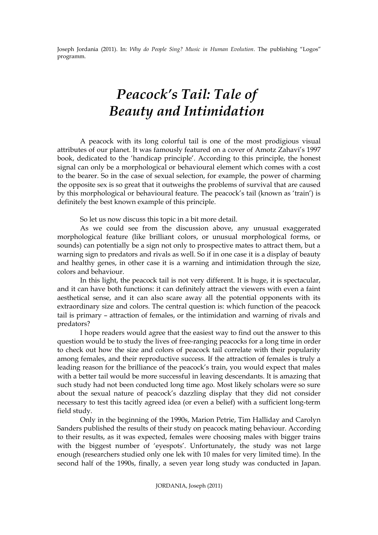## *Peacock's Tail: Tale of Beauty and Intimidation*

A peacock with its long colorful tail is one of the most prodigious visual attributes of our planet. It was famously featured on a cover of Amotz Zahavi's 1997 book, dedicated to the 'handicap principle'. According to this principle, the honest signal can only be a morphological or behavioural element which comes with a cost to the bearer. So in the case of sexual selection, for example, the power of charming the opposite sex is so great that it outweighs the problems of survival that are caused by this morphological or behavioural feature. The peacock's tail (known as 'train') is definitely the best known example of this principle.

So let us now discuss this topic in a bit more detail.

As we could see from the discussion above, any unusual exaggerated morphological feature (like brilliant colors, or unusual morphological forms, or sounds) can potentially be a sign not only to prospective mates to attract them, but a warning sign to predators and rivals as well. So if in one case it is a display of beauty and healthy genes, in other case it is a warning and intimidation through the size, colors and behaviour.

In this light, the peacock tail is not very different. It is huge, it is spectacular, and it can have both functions: it can definitely attract the viewers with even a faint aesthetical sense, and it can also scare away all the potential opponents with its extraordinary size and colors. The central question is: which function of the peacock tail is primary – attraction of females, or the intimidation and warning of rivals and predators?

I hope readers would agree that the easiest way to find out the answer to this question would be to study the lives of free-ranging peacocks for a long time in order to check out how the size and colors of peacock tail correlate with their popularity among females, and their reproductive success. If the attraction of females is truly a leading reason for the brilliance of the peacock's train, you would expect that males with a better tail would be more successful in leaving descendants. It is amazing that such study had not been conducted long time ago. Most likely scholars were so sure about the sexual nature of peacock's dazzling display that they did not consider necessary to test this tacitly agreed idea (or even a belief) with a sufficient long-term field study.

Only in the beginning of the 1990s, Marion Petrie, Tim Halliday and Carolyn Sanders published the results of their study on peacock mating behaviour. According to their results, as it was expected, females were choosing males with bigger trains with the biggest number of 'eyespots'. Unfortunately, the study was not large enough (researchers studied only one lek with 10 males for very limited time). In the second half of the 1990s, finally, a seven year long study was conducted in Japan.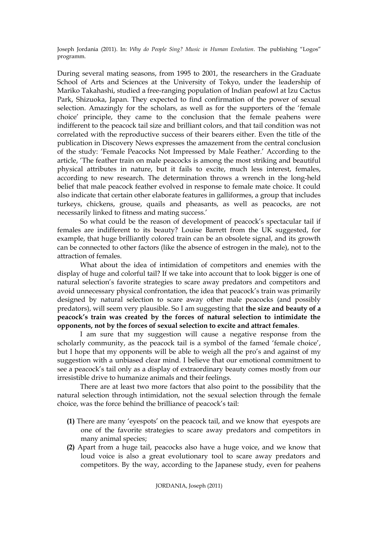During several mating seasons, from 1995 to 2001, the researchers in the Graduate School of Arts and Sciences at the University of Tokyo, under the leadership of Mariko Takahashi, studied a free-ranging population of Indian peafowl at Izu Cactus Park, Shizuoka, Japan. They expected to find confirmation of the power of sexual selection. Amazingly for the scholars, as well as for the supporters of the 'female choice' principle, they came to the conclusion that the female peahens were indifferent to the peacock tail size and brilliant colors, and that tail condition was not correlated with the reproductive success of their bearers either. Even the title of the publication in Discovery News expresses the amazement from the central conclusion of the study: 'Female Peacocks Not Impressed by Male Feather.' According to the article, 'The feather train on male peacocks is among the most striking and beautiful physical attributes in nature, but it fails to excite, much less interest, females, according to new research. The determination throws a wrench in the long-held belief that male peacock feather evolved in response to female mate choice. It could also indicate that certain other elaborate features in galliformes, a group that includes turkeys, chickens, grouse, quails and pheasants, as well as peacocks, are not necessarily linked to fitness and mating success.'

So what could be the reason of development of peacock's spectacular tail if females are indifferent to its beauty? Louise Barrett from the UK suggested, for example, that huge brilliantly colored train can be an obsolete signal, and its growth can be connected to other factors (like the absence of estrogen in the male), not to the attraction of females.

What about the idea of intimidation of competitors and enemies with the display of huge and colorful tail? If we take into account that to look bigger is one of natural selection's favorite strategies to scare away predators and competitors and avoid unnecessary physical confrontation, the idea that peacock's train was primarily designed by natural selection to scare away other male peacocks (and possibly predators), will seem very plausible. So I am suggesting that **the size and beauty of a peacock's train was created by the forces of natural selection to intimidate the opponents, not by the forces of sexual selection to excite and attract females**.

I am sure that my suggestion will cause a negative response from the scholarly community, as the peacock tail is a symbol of the famed 'female choice', but I hope that my opponents will be able to weigh all the pro's and against of my suggestion with a unbiased clear mind. I believe that our emotional commitment to see a peacock's tail only as a display of extraordinary beauty comes mostly from our irresistible drive to humanize animals and their feelings.

There are at least two more factors that also point to the possibility that the natural selection through intimidation, not the sexual selection through the female choice, was the force behind the brilliance of peacock's tail:

- **(1)** There are many 'eyespots' on the peacock tail, and we know that eyespots are one of the favorite strategies to scare away predators and competitors in many animal species;
- **(2)** Apart from a huge tail, peacocks also have a huge voice, and we know that loud voice is also a great evolutionary tool to scare away predators and competitors. By the way, according to the Japanese study, even for peahens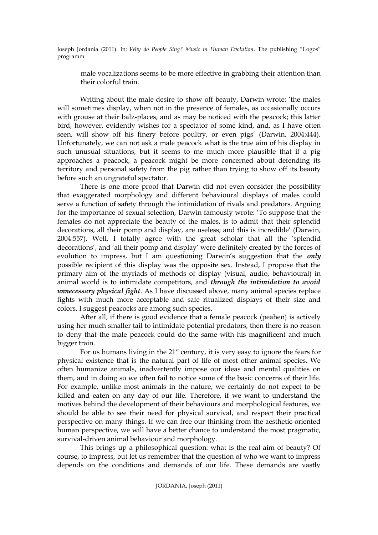male vocalizations seems to be more effective in grabbing their attention than their colorful train.

Writing about the male desire to show off beauty, Darwin wrote: 'the males will sometimes display, when not in the presence of females, as occasionally occurs with grouse at their balz-places, and as may be noticed with the peacock; this latter bird, however, evidently wishes for a spectator of some kind, and, as I have often seen, will show off his finery before poultry, or even pigs' (Darwin, 2004:444). Unfortunately, we can not ask a male peacock what is the true aim of his display in such unusual situations, but it seems to me much more plausible that if a pig approaches a peacock, a peacock might be more concerned about defending its territory and personal safety from the pig rather than trying to show off its beauty before such an ungrateful spectator.

There is one more proof that Darwin did not even consider the possibility that exaggerated morphology and different behavioural displays of males could serve a function of safety through the intimidation of rivals and predators. Arguing for the importance of sexual selection, Darwin famously wrote: 'To suppose that the females do not appreciate the beauty of the males, is to admit that their splendid decorations, all their pomp and display, are useless; and this is incredible' (Darwin, 2004:557). Well, I totally agree with the great scholar that all the 'splendid decorations', and 'all their pomp and display' were definitely created by the forces of evolution to impress, but I am questioning Darwin's suggestion that the *only* possible recipient of this display was the opposite sex. Instead, I propose that the primary aim of the myriads of methods of display (visual, audio, behavioural) in animal world is to intimidate competitors, and *through the intimidation to avoid unnecessary physical fight*. As I have discussed above, many animal species replace fights with much more acceptable and safe ritualized displays of their size and colors. I suggest peacocks are among such species.

After all, if there is good evidence that a female peacock (peahen) is actively using her much smaller tail to intimidate potential predators, then there is no reason to deny that the male peacock could do the same with his magnificent and much bigger train.

For us humans living in the  $21<sup>st</sup>$  century, it is very easy to ignore the fears for physical existence that is the natural part of life of most other animal species. We often humanize animals, inadvertently impose our ideas and mental qualities on them, and in doing so we often fail to notice some of the basic concerns of their life. For example, unlike most animals in the nature, we certainly do not expect to be killed and eaten on any day of our life. Therefore, if we want to understand the motives behind the development of their behaviours and morphological features, we should be able to see their need for physical survival, and respect their practical perspective on many things. If we can free our thinking from the aesthetic-oriented human perspective, we will have a better chance to understand the most pragmatic, survival-driven animal behaviour and morphology.

This brings up a philosophical question: what is the real aim of beauty? Of course, to impress, but let us remember that the question of who we want to impress depends on the conditions and demands of our life. These demands are vastly